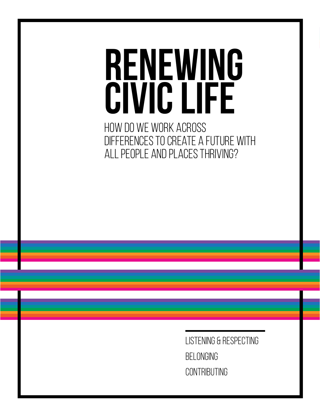# **Renewing Civic Life**

How do we work across differences to create a future with all people and places thriving?

> Listening & Respecting Belonging **CONTRIBUTING**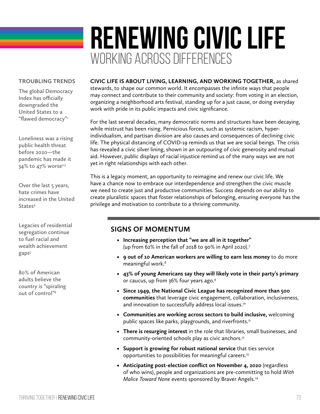## **RENEWING CIVIC LIFE** WORKING ACROSS DIFFERENCES

#### **TROUBLING TRENDS**

**The global Democracy Index has officially downgraded the United States to a "flawed democracy"1**

**Loneliness was a rising public health threat before 2020—the pandemic has made it**  34% to 47% worse<sup>2,3</sup>

**Over the last 5 years, hate crimes have increased in the United States4**

**Legacies of residential segregation continue to fuel racial and wealth achievement gaps5**

**80% of American adults believe the country is "spiraling out of control"6**

**CIVIC LIFE IS ABOUT LIVING, LEARNING, AND WORKING TOGETHER,** as shared stewards, to shape our common world. It encompasses the infinite ways that people may connect and contribute to their community and society: from voting in an election, organizing a neighborhood arts festival, standing up for a just cause, or doing everyday work with pride in its public impacts and civic significance.

For the last several decades, many democratic norms and structures have been decaying, while mistrust has been rising. Pernicious forces, such as systemic racism, hyperindividualism, and partisan division are also causes and consequences of declining civic life. The physical distancing of COVID-19 reminds us that we are social beings. The crisis has revealed a civic silver lining, shown in an outpouring of civic generosity and mutual aid. However, public displays of racial injustice remind us of the many ways we are not yet in right relationships with each other.

This is a legacy moment, an opportunity to reimagine and renew our civic life. We have a chance now to embrace our interdependence and strengthen the civic muscle we need to create just and productive communities. Success depends on our ability to create pluralistic spaces that foster relationships of belonging, ensuring everyone has the privilege and motivation to contribute to a thriving community.

### **SIGNS OF MOMENTUM**

- **• Increasing perception that "we are all in it together"**  (up from 62% in the fall of 2018 to 90% in April 2020).7
- **• 9 out of 10 American workers are willing to earn less money** to do more meaningful work.<sup>8</sup>
- **• 43% of young Americans say they will likely vote in their party's primary**  or caucus, up from 36% four years ago.9
- **• Since 1949, the National Civic League has recognized more than 500 communities** that leverage civic engagement, collaboration, inclusiveness, and innovation to successfully address local issues.<sup>10</sup>
- **• Communities are working across sectors to build inclusive,** welcoming public spaces like parks, playgrounds, and riverfronts.<sup>11</sup>
- **• There is resurging interest** in the role that libraries, small businesses, and community-oriented schools play as civic anchors.<sup>12</sup>
- **• Support is growing for robust national service** that ties service opportunities to possibilities for meaningful careers.13
- **• Anticipating post-election conflict on November 4, 2020** (regardless of who wins), people and organizations are pre-committing to hold *With Malice Toward None* events sponsored by Braver Angels.14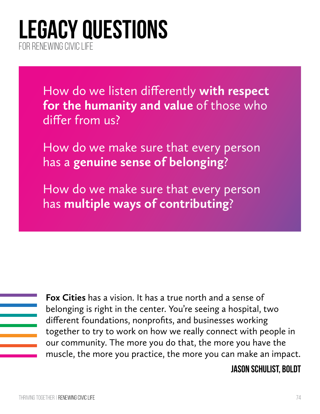## **LEGACY QUESTIONS** FOR RENEWING CIVIC LIFE

How do we listen differently **with respect for the humanity and value** of those who differ from us?

How do we make sure that every person has a **genuine sense of belonging**?

How do we make sure that every person has **multiple ways of contributing**?

| Foː  |
|------|
| bel  |
| difl |
| tog  |
| our  |
| mu   |

**x Cities** has a vision. It has a true north and a sense of longing is right in the center. You're seeing a hospital, two ferent foundations, nonprofits, and businesses working gether to try to work on how we really connect with people in r community. The more you do that, the more you have the iscle, the more you practice, the more you can make an impact.

## **Jason Schulist, Boldt**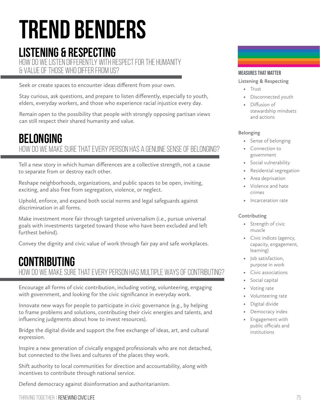## **TREND BENDERS**

## **LISTENING & RESPECTING**

How do we listen differently with respect for the humanity & value of those who differ from us?

Seek or create spaces to encounter ideas different from your own.

Stay curious, ask questions, and prepare to listen differently, especially to youth, elders, everyday workers, and those who experience racial injustice every day.

Remain open to the possibility that people with strongly opposing partisan views can still respect their shared humanity and value.

## HOW DO WE MAKE SURE THAT EVERY PERSON HAS A GENUINE SENSE OF BEL **BELONGING**

Tell a new story in which human differences are a collective strength, not a cause to separate from or destroy each other.

Reshape neighborhoods, organizations, and public spaces to be open, inviting, exciting, and also free from segregation, violence, or neglect.

Uphold, enforce, and expand both social norms and legal safeguards against discrimination in all forms.

Make investment more fair through targeted universalism (i.e., pursue universal goals with investments targeted toward those who have been excluded and left furthest behind).

Convey the dignity and civic value of work through fair pay and safe workplaces.

## How do we make sure that every person has multiple ways of contributing? **CONTRIBUTING**

Encourage all forms of civic contribution, including voting, volunteering, engaging with government, and looking for the civic significance in everyday work.

Innovate new ways for people to participate in civic governance (e.g., by helping to frame problems and solutions, contributing their civic energies and talents, and influencing judgments about how to invest resources).

Bridge the digital divide and support the free exchange of ideas, art, and cultural expression.

Inspire a new generation of civically engaged professionals who are not detached, but connected to the lives and cultures of the places they work.

Shift authority to local communities for direction and accountability, along with incentives to contribute through national service.

Defend democracy against disinformation and authoritarianism.

thriving Together | Renewing Civic Life 75

### Measures that Matter

#### **Listening & Respecting**

- Trust
- Disconnected youth
- Diffusion of stewardship mindsets and actions

#### **Belonging**

- Sense of belonging
- Connection to government
- Social vulnerability
- Residential segregation
- Area deprivation
- Violence and hate crimes
- Incarceration rate

#### **Contributing**

- Strength of civic muscle
- Civic indices (agency, capacity, engagement, learning)
- Job satisfaction, purpose in work
- Civic associations
- Social capital
- Voting rate
- Volunteering rate
- Digital divide
- Democracy index
- Engagement with public officials and institutions